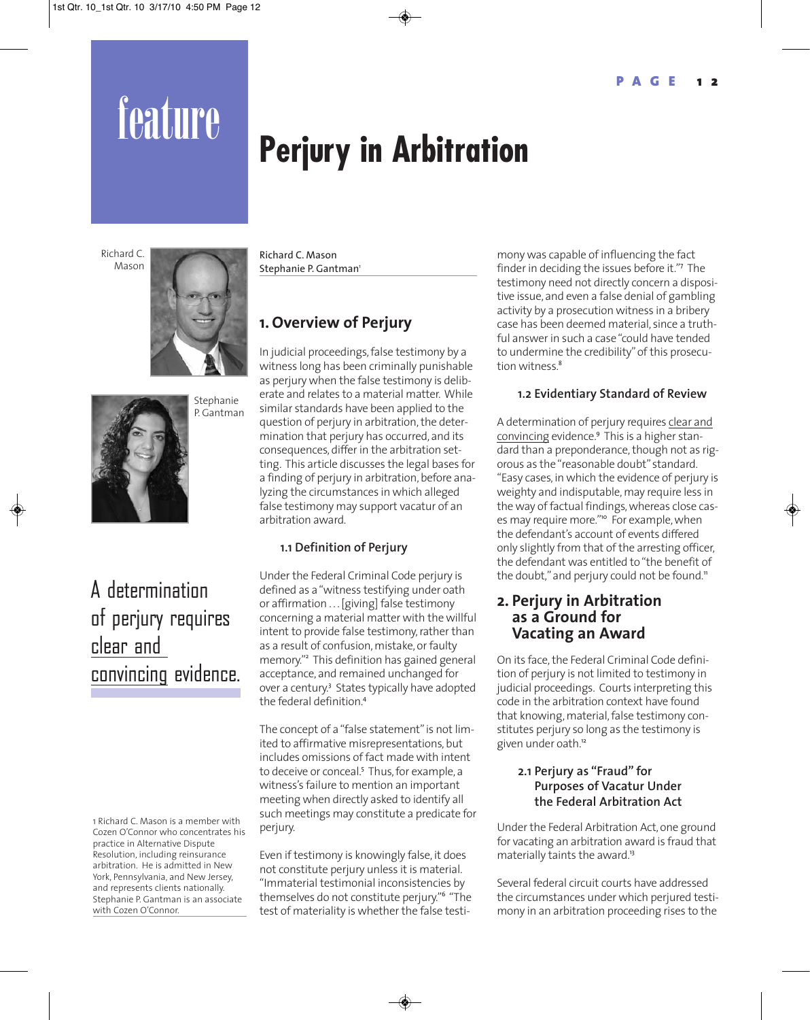# feature **Perjury in Arbitration**

Richard C. Mason





## A determination of perjury requires clear and convincing evidence.

1 Richard C. Mason is a member with Cozen O'Connor who concentrates his practice in Alternative Dispute Resolution, including reinsurance arbitration. He is admitted in New York, Pennsylvania, and New Jersey, and represents clients nationally. Stephanie P. Gantman is an associate with Cozen O'Connor.

Richard C. Mason Stephanie P. Gantman<sup>1</sup>

## **1. Overview of Perjury**

In judicial proceedings, false testimony by a witness long has been criminally punishable as perjury when the false testimony is deliberate and relates to a material matter. While similar standards have been applied to the question of perjury in arbitration, the determination that perjury has occurred, and its consequences, differ in the arbitration setting. This article discusses the legal bases for a finding of perjury in arbitration, before analyzing the circumstances in which alleged false testimony may support vacatur of an arbitration award.

#### **1.1 Definition of Perjury**

Under the Federal Criminal Code perjury is defined as a "witness testifying under oath or affirmation . . . [giving] false testimony concerning a material matter with the willful intent to provide false testimony, rather than as a result of confusion, mistake, or faulty memory."<sup>2</sup> This definition has gained general acceptance, and remained unchanged for over a century.<sup>3</sup> States typically have adopted the federal definition<sup>4</sup>

The concept of a "false statement" is not limited to affirmative misrepresentations, but includes omissions of fact made with intent to deceive or conceal.<sup>5</sup> Thus, for example, a witness's failure to mention an important meeting when directly asked to identify all such meetings may constitute a predicate for perjury.

Even if testimony is knowingly false, it does not constitute perjury unless it is material. "Immaterial testimonial inconsistencies by themselves do not constitute perjury."<sup>6</sup> "The test of materiality is whether the false testi-

mony was capable of influencing the fact finder in deciding the issues before it."<sup>7</sup> The testimony need not directly concern a dispositive issue, and even a false denial of gambling activity by a prosecution witness in a bribery case has been deemed material, since a truthful answer in such a case "could have tended to undermine the credibility" of this prosecution witness.<sup>8</sup>

#### **1.2 Evidentiary Standard of Review**

A determination of perjury requires clear and convincing evidence.<sup>9</sup> This is a higher standard than a preponderance, though not as rigorous as the "reasonable doubt" standard. "Easy cases, in which the evidence of perjury is weighty and indisputable, may require less in the way of factual findings, whereas close cases may require more."<sup>10</sup> For example, when the defendant's account of events differed only slightly from that of the arresting officer, the defendant was entitled to "the benefit of the doubt," and perjury could not be found."

### **2. Perjury in Arbitration as a Ground for Vacating an Award**

On its face, the Federal Criminal Code definition of perjury is not limited to testimony in judicial proceedings. Courts interpreting this code in the arbitration context have found that knowing, material, false testimony constitutes perjury so long as the testimony is given under oath.<sup>12</sup>

#### **2.1 Perjury as "Fraud" for Purposes of Vacatur Under the Federal Arbitration Act**

Under the Federal Arbitration Act, one ground for vacating an arbitration award is fraud that materially taints the award.<sup>13</sup>

Several federal circuit courts have addressed the circumstances under which perjured testimony in an arbitration proceeding rises to the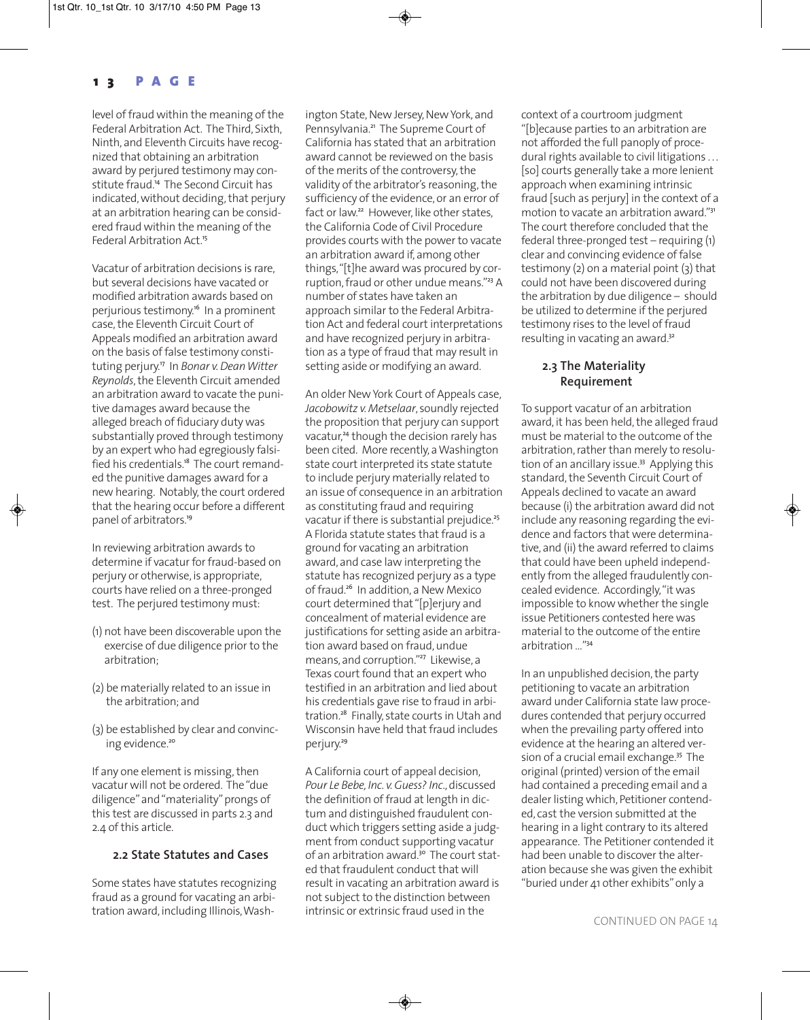level of fraud within the meaning of the Federal Arbitration Act. The Third, Sixth, Ninth, and Eleventh Circuits have recognized that obtaining an arbitration award by perjured testimony may constitute fraud.<sup>14</sup> The Second Circuit has indicated, without deciding, that perjury at an arbitration hearing can be considered fraud within the meaning of the Federal Arbitration Act.<sup>15</sup>

Vacatur of arbitration decisions is rare, but several decisions have vacated or modified arbitration awards based on perjurious testimony.<sup>16</sup> In a prominent case, the Eleventh Circuit Court of Appeals modified an arbitration award on the basis of false testimony constituting perjury.<sup>17</sup> In *Bonar v. Dean Witter Reynolds*, the Eleventh Circuit amended an arbitration award to vacate the punitive damages award because the alleged breach of fiduciary duty was substantially proved through testimony by an expert who had egregiously falsified his credentials.<sup>18</sup> The court remanded the punitive damages award for a new hearing. Notably, the court ordered that the hearing occur before a different panel of arbitrators.<sup>19</sup>

In reviewing arbitration awards to determine if vacatur for fraud-based on perjury or otherwise, is appropriate, courts have relied on a three-pronged test. The perjured testimony must:

- (1) not have been discoverable upon the exercise of due diligence prior to the arbitration;
- (2) be materially related to an issue in the arbitration; and
- (3) be established by clear and convincing evidence.<sup>20</sup>

If any one element is missing, then vacatur will not be ordered. The "due diligence" and "materiality" prongs of this test are discussed in parts 2.3 and 2.4 of this article.

#### **2.2 State Statutes and Cases**

Some states have statutes recognizing fraud as a ground for vacating an arbitration award, including Illinois, Washington State, New Jersey, New York, and Pennsylvania.<sup>21</sup> The Supreme Court of California has stated that an arbitration award cannot be reviewed on the basis of the merits of the controversy, the validity of the arbitrator's reasoning, the sufficiency of the evidence, or an error of fact or law.<sup>22</sup> However, like other states, the California Code of Civil Procedure provides courts with the power to vacate an arbitration award if, among other things, "[t]he award was procured by corruption, fraud or other undue means."<sup>23</sup> A number of states have taken an approach similar to the Federal Arbitration Act and federal court interpretations and have recognized perjury in arbitration as a type of fraud that may result in setting aside or modifying an award.

An older New York Court of Appeals case, *Jacobowitz v. Metselaar*, soundly rejected the proposition that perjury can support vacatur,<sup>24</sup> though the decision rarely has been cited. More recently, a Washington state court interpreted its state statute to include perjury materially related to an issue of consequence in an arbitration as constituting fraud and requiring vacatur if there is substantial prejudice.<sup>25</sup> A Florida statute states that fraud is a ground for vacating an arbitration award, and case law interpreting the statute has recognized perjury as a type of fraud.<sup>26</sup> In addition, a New Mexico court determined that "[p]erjury and concealment of material evidence are justifications for setting aside an arbitration award based on fraud, undue means, and corruption."<sup>27</sup> Likewise, a Texas court found that an expert who testified in an arbitration and lied about his credentials gave rise to fraud in arbitration.<sup>28</sup> Finally, state courts in Utah and Wisconsin have held that fraud includes perjury.<sup>29</sup>

A California court of appeal decision, *Pour Le Bebe, Inc. v. Guess? Inc*., discussed the definition of fraud at length in dictum and distinguished fraudulent conduct which triggers setting aside a judgment from conduct supporting vacatur of an arbitration award.<sup>30</sup> The court stated that fraudulent conduct that will result in vacating an arbitration award is not subject to the distinction between intrinsic or extrinsic fraud used in the

context of a courtroom judgment "[b]ecause parties to an arbitration are not afforded the full panoply of procedural rights available to civil litigations ... [so] courts generally take a more lenient approach when examining intrinsic fraud [such as perjury] in the context of a motion to vacate an arbitration award."<sup>31</sup> The court therefore concluded that the federal three-pronged test – requiring (1) clear and convincing evidence of false testimony (2) on a material point (3) that could not have been discovered during the arbitration by due diligence – should be utilized to determine if the perjured testimony rises to the level of fraud resulting in vacating an award.<sup>32</sup>

#### **2.3 The Materiality Requirement**

To support vacatur of an arbitration award, it has been held, the alleged fraud must be material to the outcome of the arbitration, rather than merely to resolution of an ancillary issue.<sup>33</sup> Applying this standard, the Seventh Circuit Court of Appeals declined to vacate an award because (i) the arbitration award did not include any reasoning regarding the evidence and factors that were determinative, and (ii) the award referred to claims that could have been upheld independently from the alleged fraudulently concealed evidence. Accordingly, "it was impossible to know whether the single issue Petitioners contested here was material to the outcome of the entire arbitration …"<sup>34</sup>

In an unpublished decision, the party petitioning to vacate an arbitration award under California state law procedures contended that perjury occurred when the prevailing party offered into evidence at the hearing an altered version of a crucial email exchange.<sup>35</sup> The original (printed) version of the email had contained a preceding email and a dealer listing which, Petitioner contended, cast the version submitted at the hearing in a light contrary to its altered appearance. The Petitioner contended it had been unable to discover the alteration because she was given the exhibit "buried under 41 other exhibits" only a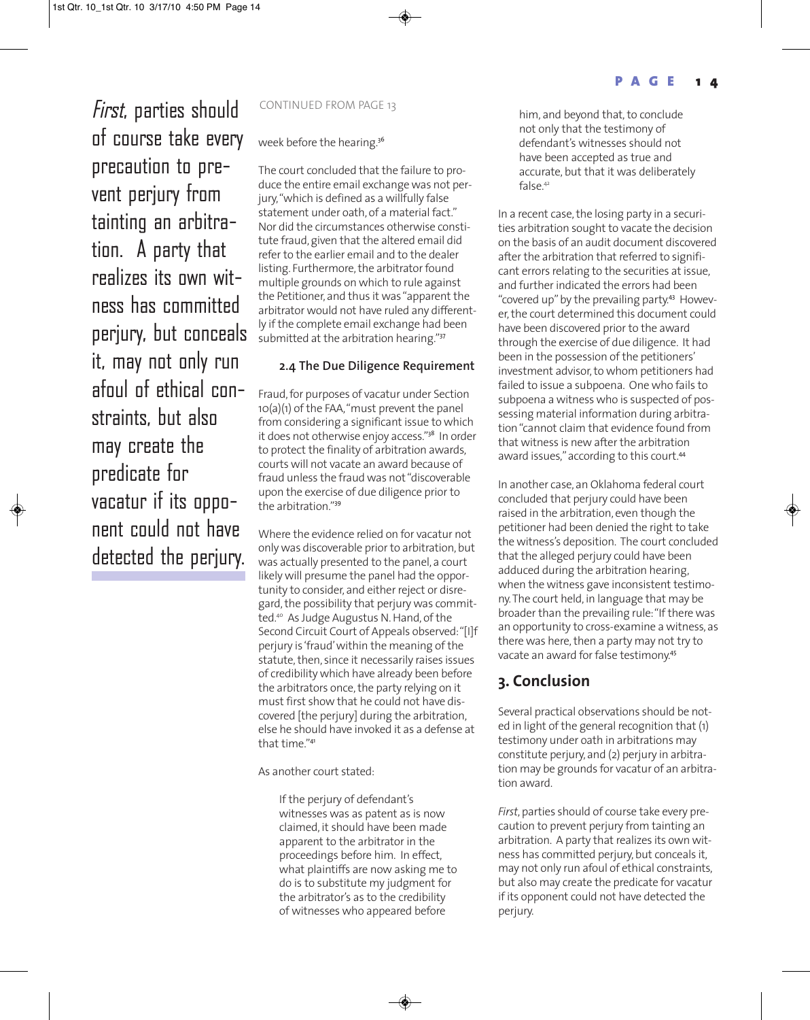First, parties should CONTINUED FROM PAGE 13 of course take every precaution to prevent perjury from tainting an arbitration. A party that realizes its own witness has committed perjury, but conceals it, may not only run afoul of ethical constraints, but also may create the predicate for vacatur if its opponent could not have detected the perjury.

week before the hearing.<sup>36</sup>

The court concluded that the failure to produce the entire email exchange was not perjury, "which is defined as a willfully false statement under oath, of a material fact." Nor did the circumstances otherwise constitute fraud, given that the altered email did refer to the earlier email and to the dealer listing. Furthermore, the arbitrator found multiple grounds on which to rule against the Petitioner, and thus it was "apparent the arbitrator would not have ruled any differently if the complete email exchange had been submitted at the arbitration hearing."37

#### **2.4 The Due Diligence Requirement**

Fraud, for purposes of vacatur under Section 10(a)(1) of the FAA, "must prevent the panel from considering a significant issue to which it does not otherwise enjoy access."<sup>38</sup> In order to protect the finality of arbitration awards, courts will not vacate an award because of fraud unless the fraud was not "discoverable upon the exercise of due diligence prior to the arbitration."<sup>39</sup>

Where the evidence relied on for vacatur not only was discoverable prior to arbitration, but was actually presented to the panel, a court likely will presume the panel had the opportunity to consider, and either reject or disregard, the possibility that perjury was committed.40 As Judge Augustus N. Hand, of the Second Circuit Court of Appeals observed: "[I]f perjury is 'fraud' within the meaning of the statute, then, since it necessarily raises issues of credibility which have already been before the arbitrators once, the party relying on it must first show that he could not have discovered [the perjury] during the arbitration, else he should have invoked it as a defense at that time."<sup>41</sup>

As another court stated:

If the perjury of defendant's witnesses was as patent as is now claimed, it should have been made apparent to the arbitrator in the proceedings before him. In effect, what plaintiffs are now asking me to do is to substitute my judgment for the arbitrator's as to the credibility of witnesses who appeared before

him, and beyond that, to conclude not only that the testimony of defendant's witnesses should not have been accepted as true and accurate, but that it was deliberately false.42

In a recent case, the losing party in a securities arbitration sought to vacate the decision on the basis of an audit document discovered after the arbitration that referred to significant errors relating to the securities at issue, and further indicated the errors had been "covered up" by the prevailing party.<sup>43</sup> However, the court determined this document could have been discovered prior to the award through the exercise of due diligence. It had been in the possession of the petitioners' investment advisor, to whom petitioners had failed to issue a subpoena. One who fails to subpoena a witness who is suspected of possessing material information during arbitration "cannot claim that evidence found from that witness is new after the arbitration award issues," according to this court.<sup>44</sup>

In another case, an Oklahoma federal court concluded that perjury could have been raised in the arbitration, even though the petitioner had been denied the right to take the witness's deposition. The court concluded that the alleged perjury could have been adduced during the arbitration hearing, when the witness gave inconsistent testimony. The court held, in language that may be broader than the prevailing rule: "If there was an opportunity to cross-examine a witness, as there was here, then a party may not try to vacate an award for false testimony.<sup>45</sup>

#### **3. Conclusion**

Several practical observations should be noted in light of the general recognition that (1) testimony under oath in arbitrations may constitute perjury, and (2) perjury in arbitration may be grounds for vacatur of an arbitration award.

*First*, parties should of course take every precaution to prevent perjury from tainting an arbitration. A party that realizes its own witness has committed perjury, but conceals it, may not only run afoul of ethical constraints, but also may create the predicate for vacatur if its opponent could not have detected the perjury.